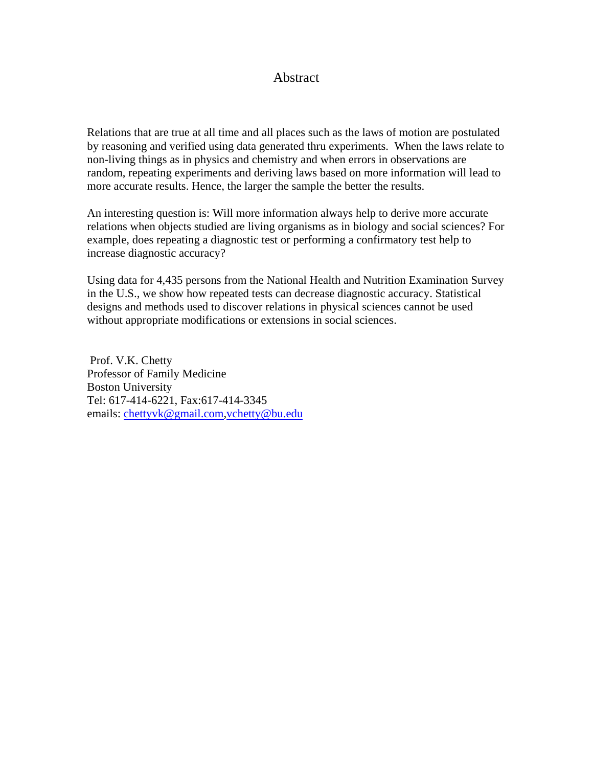## Abstract

Relations that are true at all time and all places such as the laws of motion are postulated by reasoning and verified using data generated thru experiments. When the laws relate to non-living things as in physics and chemistry and when errors in observations are random, repeating experiments and deriving laws based on more information will lead to more accurate results. Hence, the larger the sample the better the results.

An interesting question is: Will more information always help to derive more accurate relations when objects studied are living organisms as in biology and social sciences? For example, does repeating a diagnostic test or performing a confirmatory test help to increase diagnostic accuracy?

Using data for 4,435 persons from the National Health and Nutrition Examination Survey in the U.S., we show how repeated tests can decrease diagnostic accuracy. Statistical designs and methods used to discover relations in physical sciences cannot be used without appropriate modifications or extensions in social sciences.

 Prof. V.K. Chetty Professor of Family Medicine Boston University Tel: 617-414-6221, Fax:617-414-3345 emails: [chettyvk@gmail.com](mailto:chettyvk@gmail.com),[vchetty@bu.edu](mailto:vchetty@bu.edu)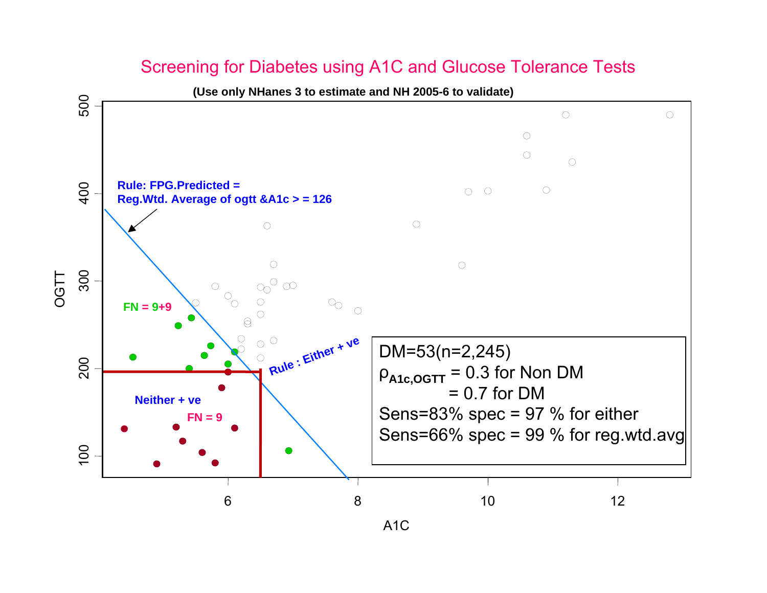## Screening for Diabetes using A1C and Glucose Tolerance Tests

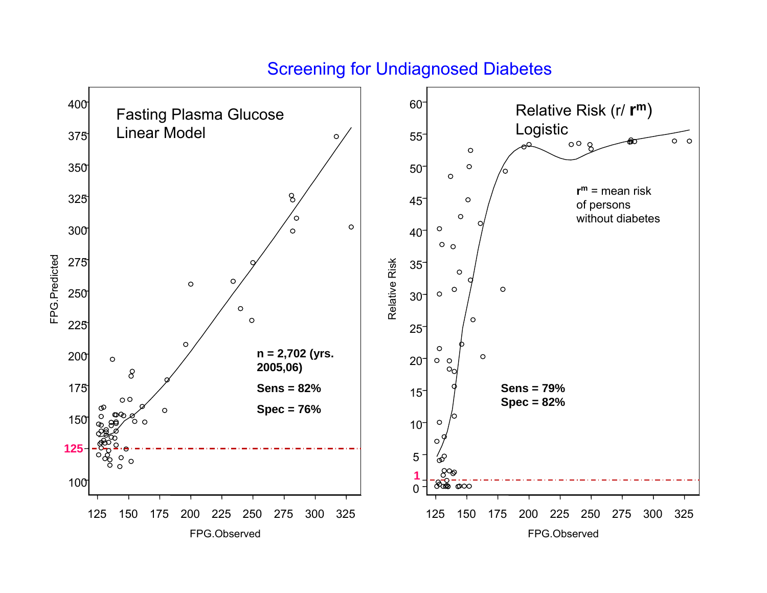## Screening for Undiagnosed Diabetes

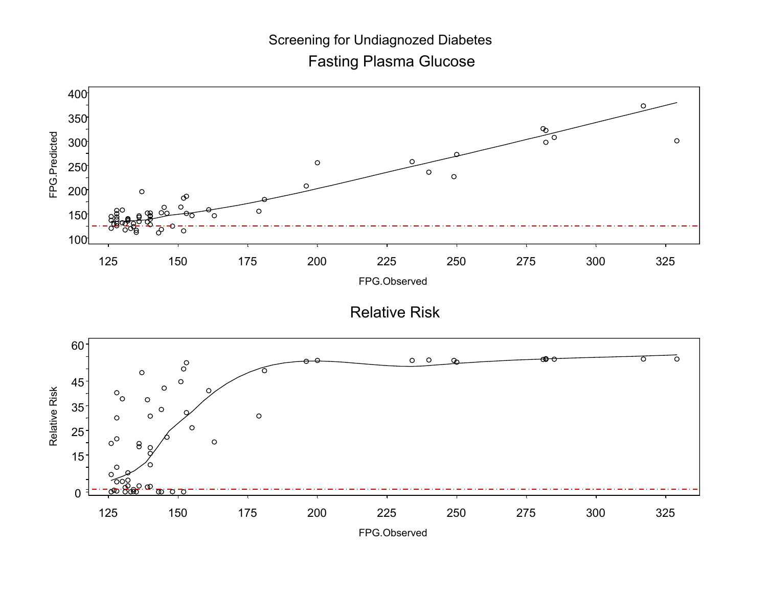Fasting Plasma Glucose Screening for Undiagnozed Diabetes